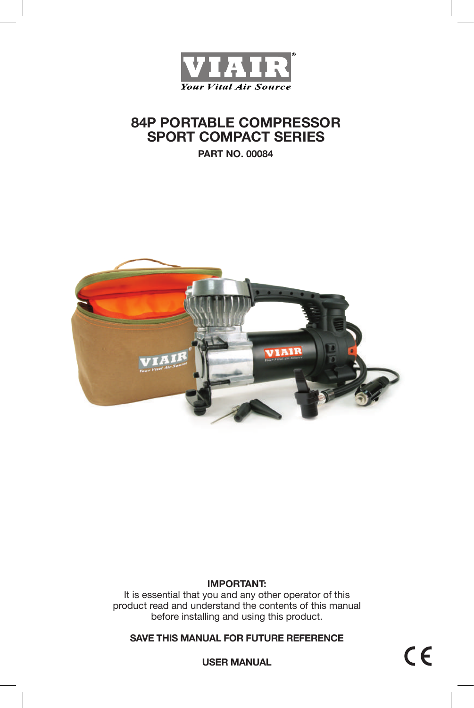

# **84P PORTABLE COMPRESSOR SPORT COMPACT SERIES**

**PART NO. 00084**



## **IMPORTANT:**

It is essential that you and any other operator of this product read and understand the contents of this manual before installing and using this product.

**SAVE THIS MANUAL FOR FUTURE REFERENCE**

**USER MANUAL**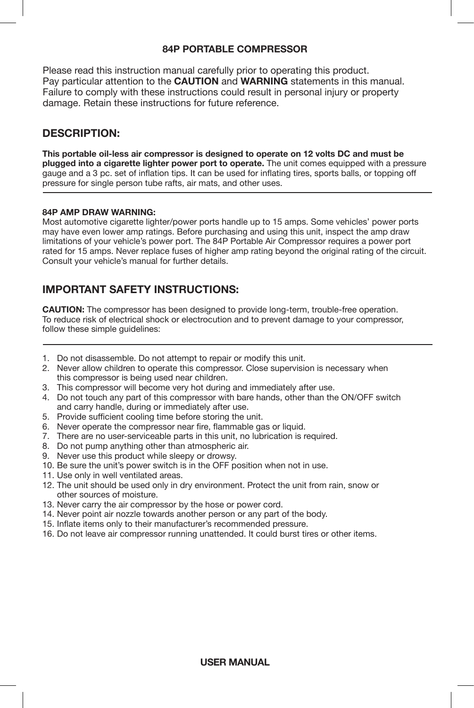### **84P PORTABLE COMPRESSOR**

Please read this instruction manual carefully prior to operating this product. Pay particular attention to the **CAUTION** and **WARNING** statements in this manual. Failure to comply with these instructions could result in personal injury or property damage. Retain these instructions for future reference.

# **DESCRIPTION:**

**This portable oil-less air compressor is designed to operate on 12 volts DC and must be plugged into a cigarette lighter power port to operate.** The unit comes equipped with a pressure gauge and a 3 pc. set of inflation tips. It can be used for inflating tires, sports balls, or topping off pressure for single person tube rafts, air mats, and other uses.

### **84P AMP DRAW WARNING:**

Most automotive cigarette lighter/power ports handle up to 15 amps. Some vehicles' power ports may have even lower amp ratings. Before purchasing and using this unit, inspect the amp draw limitations of your vehicle's power port. The 84P Portable Air Compressor requires a power port rated for 15 amps. Never replace fuses of higher amp rating beyond the original rating of the circuit. Consult your vehicle's manual for further details.

# **IMPORTANT SAFETY INSTRUCTIONS:**

**CAUTION:** The compressor has been designed to provide long-term, trouble-free operation. To reduce risk of electrical shock or electrocution and to prevent damage to your compressor, follow these simple quidelines:

- 1. Do not disassemble. Do not attempt to repair or modify this unit.
- 2. Never allow children to operate this compressor. Close supervision is necessary when this compressor is being used near children.
- 3. This compressor will become very hot during and immediately after use.
- 4. Do not touch any part of this compressor with bare hands, other than the ON/OFF switch and carry handle, during or immediately after use.
- 5. Provide sufficient cooling time before storing the unit.
- 6. Never operate the compressor near fire, flammable gas or liquid.
- 7. There are no user-serviceable parts in this unit, no lubrication is required.
- 8. Do not pump anything other than atmospheric air.
- 9. Never use this product while sleepy or drowsy.
- 10. Be sure the unit's power switch is in the OFF position when not in use.
- 11. Use only in well ventilated areas.
- 12. The unit should be used only in dry environment. Protect the unit from rain, snow or other sources of moisture.
- 13. Never carry the air compressor by the hose or power cord.
- 14. Never point air nozzle towards another person or any part of the body.
- 15. Inflate items only to their manufacturer's recommended pressure.
- 16. Do not leave air compressor running unattended. It could burst tires or other items.

### **USER MANUAL**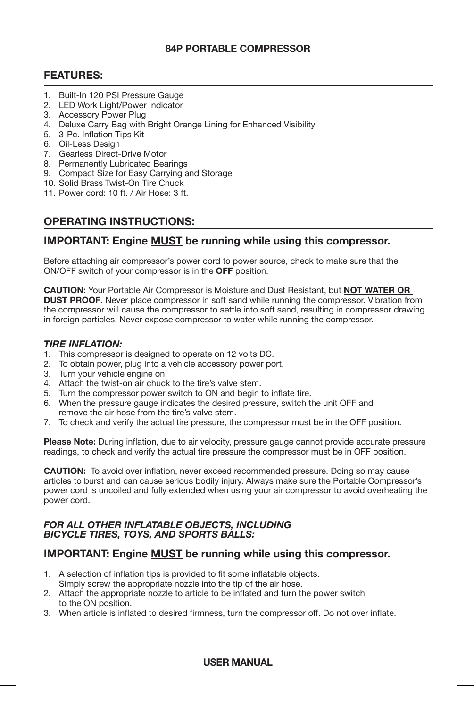### **84P PORTABLE COMPRESSOR**

# **FEATURES:**

- 1. Built-In 120 PSI Pressure Gauge
- 2. LED Work Light/Power Indicator
- 3. Accessory Power Plug
- 4. Deluxe Carry Bag with Bright Orange Lining for Enhanced Visibility
- 5. 3-Pc. Inflation Tips Kit
- 6. Oil-Less Design
- 7. Gearless Direct-Drive Motor
- 8. Permanently Lubricated Bearings
- 9. Compact Size for Easy Carrying and Storage
- 10. Solid Brass Twist-On Tire Chuck
- 11. Power cord: 10 ft. / Air Hose: 3 ft.

# **OPERATING INSTRUCTIONS:**

### **IMPORTANT: Engine MUST be running while using this compressor.**

Before attaching air compressor's power cord to power source, check to make sure that the ON/OFF switch of your compressor is in the **OFF** position.

**CAUTION:** Your Portable Air Compressor is Moisture and Dust Resistant, but **NOT WATER OR DUST PROOF**. Never place compressor in soft sand while running the compressor. Vibration from the compressor will cause the compressor to settle into soft sand, resulting in compressor drawing in foreign particles. Never expose compressor to water while running the compressor.

### *TIRE INFLATION:*

- 1. This compressor is designed to operate on 12 volts DC.
- 2. To obtain power, plug into a vehicle accessory power port.
- 3. Turn your vehicle engine on.
- 4. Attach the twist-on air chuck to the tire's valve stem.
- 5. Turn the compressor power switch to ON and begin to inflate tire.
- 6. When the pressure gauge indicates the desired pressure, switch the unit OFF and remove the air hose from the tire's valve stem.
- 7. To check and verify the actual tire pressure, the compressor must be in the OFF position.

**Please Note:** During inflation, due to air velocity, pressure gauge cannot provide accurate pressure readings, to check and verify the actual tire pressure the compressor must be in OFF position.

**CAUTION:** To avoid over inflation, never exceed recommended pressure. Doing so may cause articles to burst and can cause serious bodily injury. Always make sure the Portable Compressor's power cord is uncoiled and fully extended when using your air compressor to avoid overheating the power cord.

### *FOR ALL OTHER INFLATABLE OBJECTS, INCLUDING BICYCLE TIRES, TOYS, AND SPORTS BALLS:*

### **IMPORTANT: Engine MUST be running while using this compressor.**

- 1. A selection of inflation tips is provided to fit some inflatable objects. Simply screw the appropriate nozzle into the tip of the air hose.
- 2. Attach the appropriate nozzle to article to be inflated and turn the power switch to the ON position.
- 3. When article is inflated to desired firmness, turn the compressor off. Do not over inflate.

### **USER MANUAL**